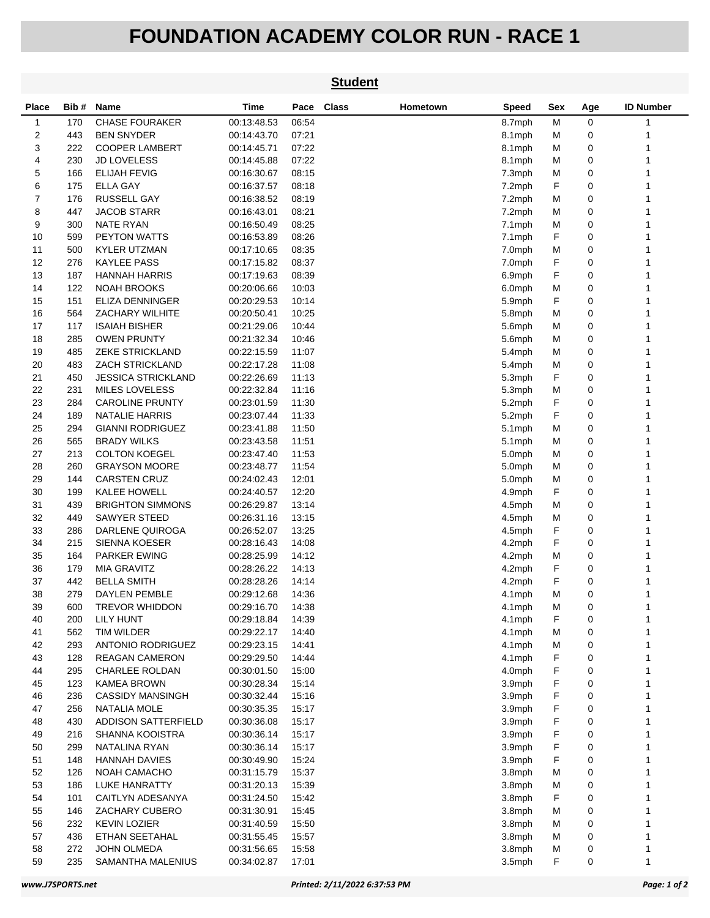## **FOUNDATION ACADEMY COLOR RUN - RACE 1**

|          |            |                                              |                            |                | <b>Student</b> |          |                  |        |        |                  |
|----------|------------|----------------------------------------------|----------------------------|----------------|----------------|----------|------------------|--------|--------|------------------|
| Place    | Bib #      | Name                                         | <b>Time</b>                | Pace           | <b>Class</b>   | Hometown | <b>Speed</b>     | Sex    | Age    | <b>ID Number</b> |
| 1        | 170        | <b>CHASE FOURAKER</b>                        | 00:13:48.53                | 06:54          |                |          | 8.7mph           | M      | 0      | $\mathbf{1}$     |
| 2        | 443        | <b>BEN SNYDER</b>                            | 00:14:43.70                | 07:21          |                |          | 8.1mph           | м      | 0      | 1                |
| 3        | 222        | <b>COOPER LAMBERT</b>                        | 00:14:45.71                | 07:22          |                |          | 8.1mph           | М      | 0      |                  |
| 4        | 230        | <b>JD LOVELESS</b>                           | 00:14:45.88                | 07:22          |                |          | 8.1mph           | M      | 0      |                  |
| 5        | 166        | <b>ELIJAH FEVIG</b>                          | 00:16:30.67                | 08:15          |                |          | 7.3mph           | M      | 0      |                  |
| 6        | 175        | <b>ELLA GAY</b>                              | 00:16:37.57                | 08:18          |                |          | 7.2mph           | F      | 0      |                  |
| 7        | 176        | <b>RUSSELL GAY</b>                           | 00:16:38.52                | 08:19          |                |          | 7.2mph           | М      | 0      | 1                |
| 8        | 447        | <b>JACOB STARR</b>                           | 00:16:43.01                | 08:21          |                |          | 7.2mph           | м      | 0      | 1                |
| 9        | 300        | <b>NATE RYAN</b>                             | 00:16:50.49                | 08:25          |                |          | 7.1mph           | М      | 0      | 1                |
| 10       | 599        | <b>PEYTON WATTS</b>                          | 00:16:53.89                | 08:26          |                |          | 7.1mph           | F      | 0      |                  |
| 11       | 500        | <b>KYLER UTZMAN</b>                          | 00:17:10.65                | 08:35          |                |          | 7.0mph           | М      | 0      |                  |
| 12       | 276        | <b>KAYLEE PASS</b>                           | 00:17:15.82                | 08:37          |                |          | 7.0mph           | F      | 0      | 1                |
| 13       | 187        | <b>HANNAH HARRIS</b>                         | 00:17:19.63                | 08:39          |                |          | 6.9mph           | F      | 0      | 1                |
| 14       | 122        | <b>NOAH BROOKS</b>                           | 00:20:06.66                | 10:03          |                |          | 6.0mph           | M      | 0      | 1                |
| 15       | 151        | <b>ELIZA DENNINGER</b>                       | 00:20:29.53                | 10:14          |                |          | 5.9mph           | F      | 0      |                  |
| 16       | 564        | ZACHARY WILHITE                              | 00:20:50.41                | 10:25          |                |          | 5.8mph           | M      | 0      |                  |
| 17       | 117        | <b>ISAIAH BISHER</b>                         | 00:21:29.06                | 10:44          |                |          | 5.6mph           | М      | 0      |                  |
| 18       | 285        | <b>OWEN PRUNTY</b>                           | 00:21:32.34                | 10:46          |                |          | 5.6mph           | М      | 0      | 1                |
| 19       | 485        | <b>ZEKE STRICKLAND</b>                       | 00:22:15.59                | 11:07          |                |          | 5.4mph           | М      | 0      | 1                |
| 20       | 483        | <b>ZACH STRICKLAND</b>                       | 00:22:17.28                | 11:08          |                |          | 5.4mph           | м      | 0      | 1                |
| 21       | 450        | <b>JESSICA STRICKLAND</b>                    | 00:22:26.69                | 11:13          |                |          | 5.3mph           | F      | 0      | 1                |
| 22       | 231        | <b>MILES LOVELESS</b>                        | 00:22:32.84                | 11:16          |                |          | 5.3mph           | M      | 0      |                  |
| 23       | 284        | <b>CAROLINE PRUNTY</b>                       | 00:23:01.59                | 11:30          |                |          | 5.2mph           | F      | 0      |                  |
| 24       | 189        | <b>NATALIE HARRIS</b>                        | 00:23:07.44                | 11:33          |                |          | 5.2mph           | F      | 0      | 1                |
| 25       | 294        | <b>GIANNI RODRIGUEZ</b>                      | 00:23:41.88                | 11:50          |                |          | 5.1mph           | M      | 0      | 1                |
| 26       | 565        | <b>BRADY WILKS</b>                           | 00:23:43.58                | 11:51          |                |          | 5.1mph           | м      | 0      | 1                |
| 27<br>28 | 213<br>260 | <b>COLTON KOEGEL</b><br><b>GRAYSON MOORE</b> | 00:23:47.40                | 11:53<br>11:54 |                |          | 5.0mph           | М<br>M | 0<br>0 |                  |
| 29       | 144        | <b>CARSTEN CRUZ</b>                          | 00:23:48.77                |                |                |          | 5.0mph           |        | 0      |                  |
| 30       | 199        | KALEE HOWELL                                 | 00:24:02.43<br>00:24:40.57 | 12:01<br>12:20 |                |          | 5.0mph<br>4.9mph | M<br>F | 0      | 1                |
| 31       | 439        | <b>BRIGHTON SIMMONS</b>                      | 00:26:29.87                | 13:14          |                |          | 4.5mph           | М      | 0      | 1                |
| 32       | 449        | <b>SAWYER STEED</b>                          | 00:26:31.16                | 13:15          |                |          | 4.5mph           | м      | 0      | 1                |
| 33       | 286        | DARLENE QUIROGA                              | 00:26:52.07                | 13:25          |                |          | 4.5mph           | F      | 0      |                  |
| 34       | 215        | <b>SIENNA KOESER</b>                         | 00:28:16.43                | 14:08          |                |          | 4.2mph           | F      | 0      |                  |
| 35       | 164        | <b>PARKER EWING</b>                          | 00:28:25.99                | 14:12          |                |          | 4.2mph           | М      | 0      |                  |
| 36       | 179        | <b>MIA GRAVITZ</b>                           | 00:28:26.22                | 14:13          |                |          | 4.2mph           | F      | 0      |                  |
| 37       | 442        | <b>BELLA SMITH</b>                           | 00:28:28.26                | 14:14          |                |          | 4.2mph           | F      | 0      | 1                |
| 38       | 279        | <b>DAYLEN PEMBLE</b>                         | 00:29:12.68                | 14:36          |                |          | 4.1mph           | М      | 0      |                  |
| 39       | 600        | <b>TREVOR WHIDDON</b>                        | 00:29:16.70                | 14:38          |                |          | 4.1mph           | M      | 0      | 1                |
| 40       | 200        | LILY HUNT                                    | 00:29:18.84                | 14:39          |                |          | 4.1mph           | F      | 0      |                  |
| 41       | 562        | TIM WILDER                                   | 00:29:22.17                | 14:40          |                |          | 4.1mph           | M      | 0      |                  |
| 42       | 293        | ANTONIO RODRIGUEZ                            | 00:29:23.15                | 14:41          |                |          | 4.1mph           | M      | 0      |                  |
| 43       | 128        | <b>REAGAN CAMERON</b>                        | 00:29:29.50                | 14:44          |                |          | 4.1mph           | F      | 0      | 1                |
| 44       | 295        | <b>CHARLEE ROLDAN</b>                        | 00:30:01.50                | 15:00          |                |          | 4.0mph           | F      | 0      | 1                |
| 45       | 123        | <b>KAMEA BROWN</b>                           | 00:30:28.34                | 15:14          |                |          | 3.9mph           | F      | 0      |                  |
| 46       | 236        | <b>CASSIDY MANSINGH</b>                      | 00:30:32.44                | 15:16          |                |          | 3.9mph           | F      | 0      |                  |
| 47       | 256        | NATALIA MOLE                                 | 00:30:35.35                | 15:17          |                |          | 3.9mph           | F      | 0      |                  |
| 48       | 430        | ADDISON SATTERFIELD                          | 00:30:36.08                | 15:17          |                |          | 3.9mph           | F      | 0      |                  |
| 49       | 216        | SHANNA KOOISTRA                              | 00:30:36.14                | 15:17          |                |          | 3.9mph           | F      | 0      | 1                |
| 50       | 299        | NATALINA RYAN                                | 00:30:36.14                | 15:17          |                |          | 3.9mph           | F      | 0      | 1                |
| 51       | 148        | <b>HANNAH DAVIES</b>                         | 00:30:49.90                | 15:24          |                |          | 3.9mph           | F      | 0      |                  |
| 52       | 126        | NOAH CAMACHO                                 | 00:31:15.79                | 15:37          |                |          | 3.8mph           | M      | 0      |                  |
| 53       | 186        | LUKE HANRATTY                                | 00:31:20.13                | 15:39          |                |          | 3.8mph           | M      | 0      |                  |
| 54       | 101        | CAITLYN ADESANYA                             | 00:31:24.50                | 15:42          |                |          | 3.8mph           | F      | 0      |                  |
| 55       | 146        | ZACHARY CUBERO                               | 00:31:30.91                | 15:45          |                |          | 3.8mph           | M      | 0      | 1                |
| 56       | 232        | <b>KEVIN LOZIER</b>                          | 00:31:40.59                | 15:50          |                |          | 3.8mph           | м      | 0      | 1                |
| 57       | 436        | ETHAN SEETAHAL                               | 00:31:55.45                | 15:57          |                |          | 3.8mph           | M      | 0      |                  |
| 58       | 272        | JOHN OLMEDA                                  | 00:31:56.65                | 15:58          |                |          | 3.8mph           | M      | 0      | 1                |
| 59       | 235        | SAMANTHA MALENIUS                            | 00:34:02.87                | 17:01          |                |          | 3.5mph           | F      | 0      | 1                |